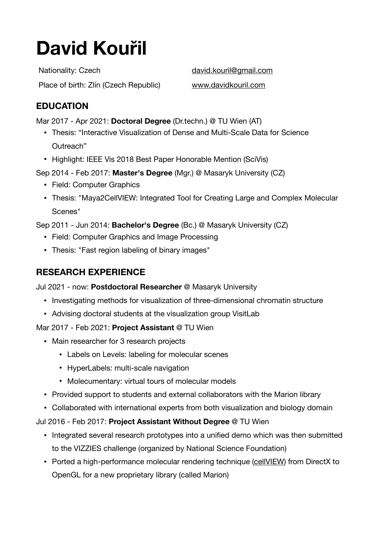# **David Kouřil**

Nationality: Czech [david.kouril@gmail.com](mailto:david.kouril@gmail.com) Place of birth: Zlín (Czech Republic) [www.davidkouril.com](http://www.davidkouril.com)

# **EDUCATION**

Mar 2017 - Apr 2021: **Doctoral Degree** (Dr.techn.) @ TU Wien (AT)

- Thesis: "Interactive Visualization of Dense and Multi-Scale Data for Science Outreach"
- Highlight: IEEE Vis 2018 Best Paper Honorable Mention (SciVis)
- Sep 2014 Feb 2017: **Master's Degree** (Mgr.) @ Masaryk University (CZ)
	- Field: Computer Graphics
	- Thesis: "Maya2CellVIEW: Integrated Tool for Creating Large and Complex Molecular Scenes"

Sep 2011 - Jun 2014: **Bachelor's Degree** (Bc.) @ Masaryk University (CZ)

- Field: Computer Graphics and Image Processing
- Thesis: "Fast region labeling of binary images"

# **RESEARCH EXPERIENCE**

Jul 2021 - now: **Postdoctoral Researcher** @ Masaryk University

- Investigating methods for visualization of three-dimensional chromatin structure
- Advising doctoral students at the visualization group VisitLab

Mar 2017 - Feb 2021: **Project Assistant** @ TU Wien

- Main researcher for 3 research projects
	- Labels on Levels: labeling for molecular scenes
	- HyperLabels: multi-scale navigation
	- Molecumentary: virtual tours of molecular models
- Provided support to students and external collaborators with the Marion library
- Collaborated with international experts from both visualization and biology domain
- Jul 2016 Feb 2017: **Project Assistant Without Degree** @ TU Wien
	- Integrated several research prototypes into a unified demo which was then submitted to the VIZZIES challenge (organized by National Science Foundation)
	- Ported a high-performance molecular rendering technique [\(cellVIEW](https://www.cg.tuwien.ac.at/cellview/)) from DirectX to OpenGL for a new proprietary library (called Marion)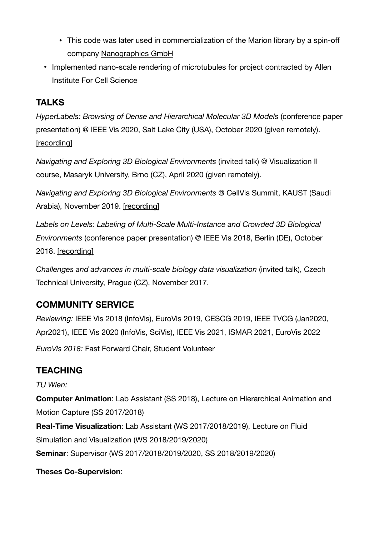- This code was later used in commercialization of the Marion library by a spin-off company [Nanographics GmbH](https://nanographics.at)
- Implemented nano-scale rendering of microtubules for project contracted by Allen Institute For Cell Science

# **TALKS**

*HyperLabels: Browsing of Dense and Hierarchical Molecular 3D Models* (conference paper presentation) @ IEEE Vis 2020, Salt Lake City (USA), October 2020 (given remotely). [\[recording\]](https://youtu.be/GVfO0F-4T7g?t=630)

*Navigating and Exploring 3D Biological Environments* (invited talk) @ Visualization II course, Masaryk University, Brno (CZ), April 2020 (given remotely).

*Navigating and Exploring 3D Biological Environments* @ CellVis Summit, KAUST (Saudi Arabia), November 2019. [\[recording\]](https://webcast.kaust.edu.sa/Mediasite/Showcase/default/Presentation/e8772073b7e343e09ace32a9a2d186251d)

*Labels on Levels: Labeling of Multi-Scale Multi-Instance and Crowded 3D Biological Environments* (conference paper presentation) @ IEEE Vis 2018, Berlin (DE), October 2018. [\[recording\]](https://vimeo.com/303245396)

*Challenges and advances in multi-scale biology data visualization* (invited talk), Czech Technical University, Prague (CZ), November 2017.

### **COMMUNITY SERVICE**

*Reviewing:* IEEE Vis 2018 (InfoVis), EuroVis 2019, CESCG 2019, IEEE TVCG (Jan2020, Apr2021), IEEE Vis 2020 (InfoVis, SciVis), IEEE Vis 2021, ISMAR 2021, EuroVis 2022

*EuroVis 2018:* Fast Forward Chair, Student Volunteer

# **TEACHING**

#### *TU Wien:*

**Computer Animation**: Lab Assistant (SS 2018), Lecture on Hierarchical Animation and Motion Capture (SS 2017/2018)

**Real-Time Visualization**: Lab Assistant (WS 2017/2018/2019), Lecture on Fluid Simulation and Visualization (WS 2018/2019/2020)

**Seminar**: Supervisor (WS 2017/2018/2019/2020, SS 2018/2019/2020)

#### **Theses Co-Supervision**: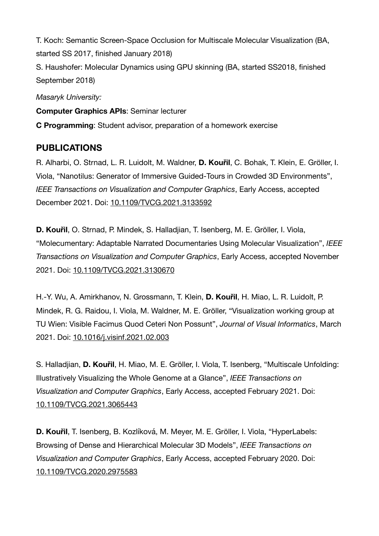T. Koch: Semantic Screen-Space Occlusion for Multiscale Molecular Visualization (BA, started SS 2017, finished January 2018) S. Haushofer: Molecular Dynamics using GPU skinning (BA, started SS2018, finished September 2018)

*Masaryk University:* 

**Computer Graphics APIs**: Seminar lecturer

**C Programming**: Student advisor, preparation of a homework exercise

### **PUBLICATIONS**

R. Alharbi, O. Strnad, L. R. Luidolt, M. Waldner, **D. Kouřil**, C. Bohak, T. Klein, E. Gröller, I. Viola, "Nanotilus: Generator of Immersive Guided-Tours in Crowded 3D Environments", *IEEE Transactions on Visualization and Computer Graphics*, Early Access, accepted December 2021. Doi: [10.1109/TVCG.2021.3133592](https://doi.org/10.1109/TVCG.2021.3133592)

**D. Kouřil**, O. Strnad, P. Mindek, S. Halladjian, T. Isenberg, M. E. Gröller, I. Viola, "Molecumentary: Adaptable Narrated Documentaries Using Molecular Visualization", *IEEE Transactions on Visualization and Computer Graphics*, Early Access, accepted November 2021. Doi: [10.1109/TVCG.2021.3130670](https://doi.org/10.1109/TVCG.2021.3130670)

H.-Y. Wu, A. Amirkhanov, N. Grossmann, T. Klein, **D. Kouřil**, H. Miao, L. R. Luidolt, P. Mindek, R. G. Raidou, I. Viola, M. Waldner, M. E. Gröller, "Visualization working group at TU Wien: Visible Facimus Quod Ceteri Non Possunt", *Journal of Visual Informatics*, March 2021. Doi: [10.1016/j.visinf.2021.02.003](https://doi.org/10.1016/j.visinf.2021.02.003)

S. Halladjian, **D. Kouřil**, H. Miao, M. E. Gröller, I. Viola, T. Isenberg, "Multiscale Unfolding: Illustratively Visualizing the Whole Genome at a Glance", *IEEE Transactions on Visualization and Computer Graphics*, Early Access, accepted February 2021. Doi: [10.1109/TVCG.2021.3065443](https://doi.org/10.1109/TVCG.2021.3065443)

**D. Kouřil**, T. Isenberg, B. Kozlíková, M. Meyer, M. E. Gröller, I. Viola, "HyperLabels: Browsing of Dense and Hierarchical Molecular 3D Models", *IEEE Transactions on Visualization and Computer Graphics*, Early Access, accepted February 2020. Doi: [10.1109/TVCG.2020.2975583](https://doi.org/10.1109/TVCG.2020.2975583)